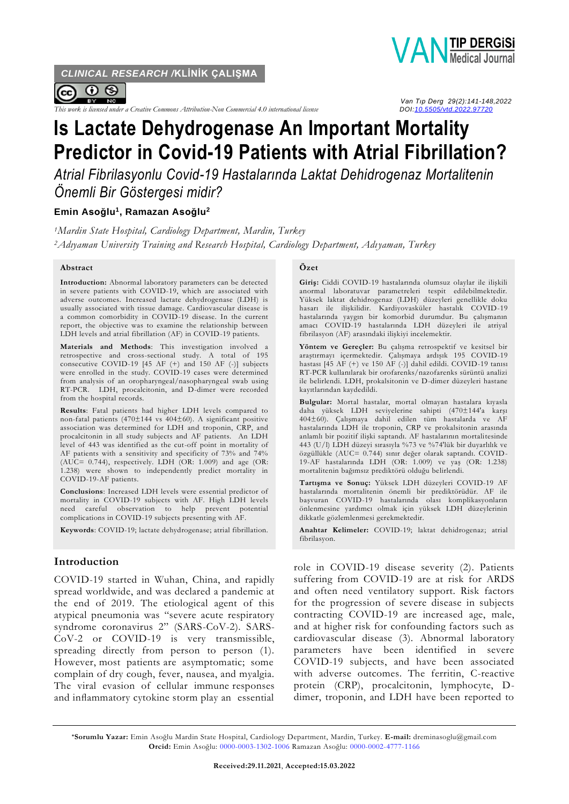*CLINICAL RESEARCH /***KLİNİK ÇALIŞMA**



*This work is licensed under a Creative Commons Attribution-Non Commercial 4.0 international license* 

# **Is Lactate Dehydrogenase An Important Mortality Predictor in Covid-19 Patients with Atrial Fibrillation?**

*Atrial Fibrilasyonlu Covid-19 Hastalarında Laktat Dehidrogenaz Mortalitenin Önemli Bir Göstergesi midir?*

## **Emin Asoğlu<sup>1</sup> , Ramazan Asoğlu<sup>2</sup>**

*<sup>1</sup>Mardin State Hospital, Cardiology Department, Mardin, Turkey <sup>2</sup>Adıyaman University Training and Research Hospital, Cardiology Department, Adıyaman, Turkey*

#### **Abstract**

**Introduction:** Abnormal laboratory parameters can be detected in severe patients with COVID-19, which are associated with adverse outcomes. Increased lactate dehydrogenase (LDH) is usually associated with tissue damage. Cardiovascular disease is a common comorbidity in COVID-19 disease. In the current report, the objective was to examine the relationship between LDH levels and atrial fibrillation (AF) in COVID-19 patients.

**Materials and Methods**: This investigation involved a retrospective and cross-sectional study. A total of 195 consecutive COVID-19 [45 AF (+) and 150 AF (-)] subjects were enrolled in the study. COVID-19 cases were determined from analysis of an oropharyngeal/nasopharyngeal swab using RT-PCR. LDH, procalcitonin, and D-dimer were recorded from the hospital records.

**Results**: Fatal patients had higher LDH levels compared to non-fatal patients (470±144 vs 404±60). A significant positive association was determined for LDH and troponin, CRP, and procalcitonin in all study subjects and AF patients. An LDH level of 443 was identified as the cut-off point in mortality of AF patients with a sensitivity and specificity of 73% and 74% (AUC= 0.744), respectively. LDH (OR: 1.009) and age (OR: 1.238) were shown to independently predict mortality in COVID-19-AF patients.

**Conclusions**: Increased LDH levels were essential predictor of mortality in COVID-19 subjects with AF. High LDH levels need careful observation to help prevent potential complications in COVID-19 subjects presenting with AF.

**Keywords**: COVID-19; lactate dehydrogenase; atrial fibrillation.

#### **Introduction**

COVID-19 started in Wuhan, China, and rapidly spread worldwide, and was declared a pandemic at the end of 2019. The etiological agent of this atypical pneumonia was "severe acute respiratory syndrome coronavirus 2" (SARS-CoV-2). SARS-CoV-2 or COVID-19 is very transmissible, spreading directly from person to person (1). However, most patients are asymptomatic; some complain of dry cough, fever, nausea, and myalgia. The viral evasion of cellular immune responses and inflammatory cytokine storm play an essential

#### **Özet**

**Giriş:** Ciddi COVID-19 hastalarında olumsuz olaylar ile ilişkili anormal laboratuvar parametreleri tespit edilebilmektedir. Yüksek laktat dehidrogenaz (LDH) düzeyleri genellikle doku hasarı ile ilişkilidir. Kardiyovasküler hastalık COVID-19 hastalarında yaygın bir komorbid durumdur. Bu çalışmanın amacı COVID-19 hastalarında LDH düzeyleri ile atriyal fibrilasyon (AF) arasındaki ilişkiyi incelemektir.

**Yöntem ve Gereçler:** Bu çalışma retrospektif ve kesitsel bir araştırmayı içermektedir. Çalışmaya ardışık 195 COVID-19 hastası [45 AF (+) ve 150 AF (-)] dahil edildi. COVID-19 tanısı RT-PCR kullanılarak bir orofarenks/nazofarenks sürüntü analizi ile belirlendi. LDH, prokalsitonin ve D-dimer düzeyleri hastane kayıtlarından kaydedildi.

**Bulgular:** Mortal hastalar, mortal olmayan hastalara kıyasla daha yüksek LDH seviyelerine sahipti (470±144'a karşı 404±60). Çalışmaya dahil edilen tüm hastalarda ve AF hastalarında LDH ile troponin, CRP ve prokalsitonin arasında anlamlı bir pozitif ilişki saptandı. AF hastalarının mortalitesinde 443 (U/l) LDH düzeyi sırasıyla %73 ve %74'lük bir duyarlılık ve özgüllükle (AUC= 0.744) sınır değer olarak saptandı. COVID-19-AF hastalarında LDH (OR: 1.009) ve yaş (OR: 1.238) mortalitenin bağımsız prediktörü olduğu belirlendi.

**Tartışma ve Sonuç:** Yüksek LDH düzeyleri COVID-19 AF hastalarında mortalitenin önemli bir prediktörüdür. AF ile başvuran COVID-19 hastalarında olası komplikasyonların önlenmesine yardımcı olmak için yüksek LDH düzeylerinin dikkatle gözlemlenmesi gerekmektedir.

**Anahtar Kelimeler:** COVID-19; laktat dehidrogenaz; atrial fibrilasyon.

role in COVID-19 disease severity (2). Patients suffering from COVID-19 are at risk for ARDS and often need ventilatory support. Risk factors for the progression of severe disease in subjects contracting COVID-19 are increased age, male, and at higher risk for confounding factors such as cardiovascular disease (3). Abnormal laboratory parameters have been identified in severe COVID-19 subjects, and have been associated with adverse outcomes. The ferritin, C-reactive protein (CRP), procalcitonin, lymphocyte, Ddimer, troponin, and LDH have been reported to

**\*Sorumlu Yazar:** Emin Asoğlu Mardin State Hospital, Cardiology Department, Mardin, Turkey. **E-mail:** dreminasoglu@gmail.com **Orcid:** Emin Asoğlu: [0000-0003-1302-1006](https://orcid.org/0000-0003-1302-1006) Ramazan Asoğlu: [0000-0002-4777-1166](https://orcid.org/0000-0002-4777-1166)



 *Van Tıp Derg 29(2):141-148,2022*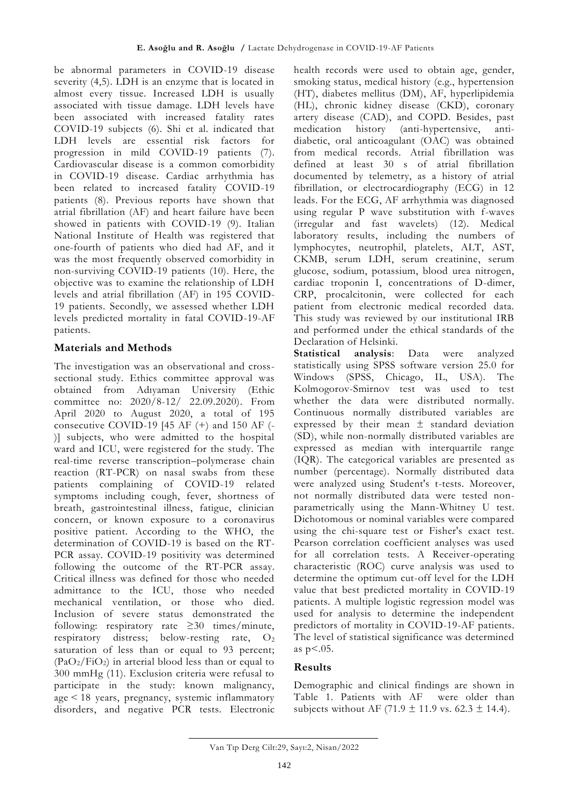be abnormal parameters in COVID-19 disease severity (4,5). LDH is an enzyme that is located in almost every tissue. Increased LDH is usually associated with tissue damage. LDH levels have been associated with increased fatality rates COVID-19 subjects (6). Shi et al. indicated that LDH levels are essential risk factors for progression in mild COVID-19 patients (7). Cardiovascular disease is a common comorbidity in COVID-19 disease. Cardiac arrhythmia has been related to increased fatality COVID-19 patients (8). Previous reports have shown that atrial fibrillation (AF) and heart failure have been showed in patients with COVID-19 (9). Italian National Institute of Health was registered that one-fourth of patients who died had AF, and it was the most frequently observed comorbidity in non-surviving COVID-19 patients (10). Here, the objective was to examine the relationship of LDH levels and atrial fibrillation (AF) in 195 COVID-19 patients. Secondly, we assessed whether LDH levels predicted mortality in fatal COVID-19-AF patients.

# **Materials and Methods**

The investigation was an observational and crosssectional study. Ethics committee approval was obtained from Adıyaman University (Ethic committee no: 2020/8-12/ 22.09.2020). From April 2020 to August 2020, a total of 195 consecutive COVID-19 [45 AF (+) and 150 AF (- )] subjects, who were admitted to the hospital ward and ICU, were registered for the study. The real-time reverse transcription–polymerase chain reaction (RT-PCR) on nasal swabs from these patients complaining of COVID-19 related symptoms including cough, fever, shortness of breath, gastrointestinal illness, fatigue, clinician concern, or known exposure to a coronavirus positive patient. According to the WHO, the determination of COVID-19 is based on the RT-PCR assay. COVID-19 positivity was determined following the outcome of the RT-PCR assay. Critical illness was defined for those who needed admittance to the ICU, those who needed mechanical ventilation, or those who died. Inclusion of severe status demonstrated the following: respiratory rate ≥30 times/minute, respiratory distress; below-resting rate, O2 saturation of less than or equal to 93 percent;  $(PaO<sub>2</sub>/FiO<sub>2</sub>)$  in arterial blood less than or equal to 300 mmHg (11). Exclusion criteria were refusal to participate in the study: known malignancy, age < 18 years, pregnancy, systemic inflammatory disorders, and negative PCR tests. Electronic

health records were used to obtain age, gender, smoking status, medical history (e.g., hypertension (HT), diabetes mellitus (DM), AF, hyperlipidemia (HL), chronic kidney disease (CKD), coronary artery disease (CAD), and COPD. Besides, past medication history (anti-hypertensive, antidiabetic, oral anticoagulant (OAC) was obtained from medical records. Atrial fibrillation was defined at least 30 s of atrial fibrillation documented by telemetry, as a history of atrial fibrillation, or electrocardiography (ECG) in 12 leads. For the ECG, AF arrhythmia was diagnosed using regular P wave substitution with f-waves (irregular and fast wavelets) (12). Medical laboratory results, including the numbers of lymphocytes, neutrophil, platelets, ALT, AST, CKMB, serum LDH, serum creatinine, serum glucose, sodium, potassium, blood urea nitrogen, cardiac troponin I, concentrations of D-dimer, CRP, procalcitonin, were collected for each patient from electronic medical recorded data. This study was reviewed by our institutional IRB and performed under the ethical standards of the Declaration of Helsinki.

**Statistical analysis**: Data were analyzed statistically using SPSS software version 25.0 for Windows (SPSS, Chicago, IL, USA). The Kolmogorov-Smirnov test was used to test whether the data were distributed normally. Continuous normally distributed variables are expressed by their mean ± standard deviation (SD), while non-normally distributed variables are expressed as median with interquartile range (IQR). The categorical variables are presented as number (percentage). Normally distributed data were analyzed using Student's t-tests. Moreover, not normally distributed data were tested nonparametrically using the Mann-Whitney U test. Dichotomous or nominal variables were compared using the chi-square test or Fisher's exact test. Pearson correlation coefficient analyses was used for all correlation tests. A Receiver-operating characteristic (ROC) curve analysis was used to determine the optimum cut-off level for the LDH value that best predicted mortality in COVID-19 patients. A multiple logistic regression model was used for analysis to determine the independent predictors of mortality in COVID-19-AF patients. The level of statistical significance was determined as  $p<.05$ .

## **Results**

Demographic and clinical findings are shown in Table 1. Patients with AF were older than subjects without AF (71.9  $\pm$  11.9 vs. 62.3  $\pm$  14.4).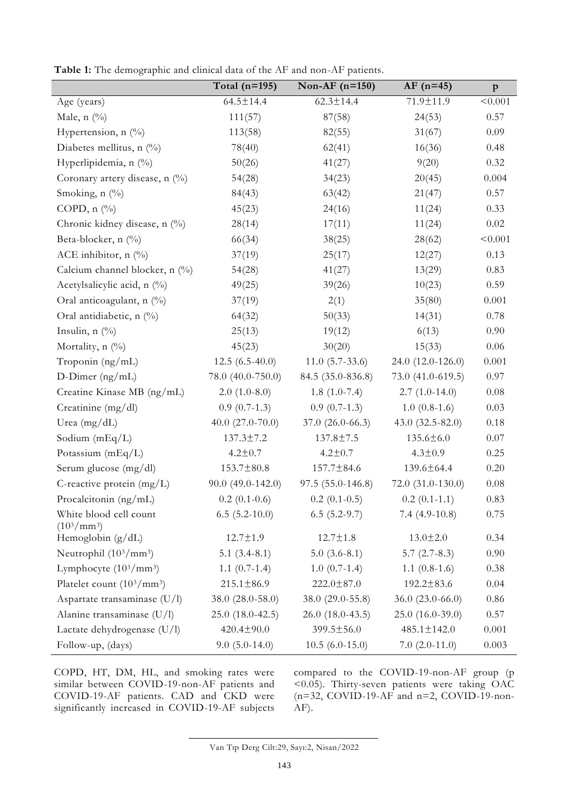|                                                | Total $(n=195)$      | Non-AF $(n=150)$    | $AF$ (n=45)          | $\, {\bf p}$ |
|------------------------------------------------|----------------------|---------------------|----------------------|--------------|
| Age (years)                                    | $64.5 \pm 14.4$      | $62.3 \pm 14.4$     | 71.9±11.9            | < 0.001      |
| Male, $n$ (%)                                  | 111(57)              | 87(58)              | 24(53)               | 0.57         |
| Hypertension, n (%)                            | 113(58)              | 82(55)              | 31(67)               | 0.09         |
| Diabetes mellitus, n $(^{0}_{0})$              | 78(40)               | 62(41)              | 16(36)               | 0.48         |
| Hyperlipidemia, n (%)                          | 50(26)               | 41(27)              | 9(20)                | 0.32         |
| Coronary artery disease, n (%)                 | 54(28)               | 34(23)              | 20(45)               | 0.004        |
| Smoking, $n$ (%)                               | 84(43)               | 63(42)              | 21(47)               | 0.57         |
| COPD, $n$ $\left(\frac{0}{0}\right)$           | 45(23)               | 24(16)              | 11(24)               | 0.33         |
| Chronic kidney disease, n (%)                  | 28(14)               | 17(11)              | 11(24)               | 0.02         |
| Beta-blocker, n (%)                            | 66(34)               | 38(25)              | 28(62)               | < 0.001      |
| ACE inhibitor, $n$ (%)                         | 37(19)               | 25(17)              | 12(27)               | 0.13         |
| Calcium channel blocker, n (%)                 | 54(28)               | 41(27)              | 13(29)               | 0.83         |
| Acetylsalicylic acid, n (%)                    | 49(25)               | 39(26)              | 10(23)               | 0.59         |
| Oral anticoagulant, n (%)                      | 37(19)               | 2(1)                | 35(80)               | 0.001        |
| Oral antidiabetic, n (%)                       | 64(32)               | 50(33)              | 14(31)               | 0.78         |
| Insulin, $n$ $\left(\frac{0}{0}\right)$        | 25(13)               | 19(12)              | 6(13)                | 0.90         |
| Mortality, $n$ (%)                             | 45(23)               | 30(20)              | 15(33)               | $0.06\,$     |
| Troponin (ng/mL)                               | $12.5(6.5-40.0)$     | $11.0 (5.7 - 33.6)$ | 24.0 (12.0-126.0)    | 0.001        |
| D-Dimer $(ng/mL)$                              | 78.0 (40.0-750.0)    | 84.5 (35.0-836.8)   | 73.0 (41.0-619.5)    | $0.97\,$     |
| Creatine Kinase MB (ng/mL)                     | $2.0(1.0-8.0)$       | $1.8(1.0-7.4)$      | $2.7(1.0-14.0)$      | 0.08         |
| Creatinine (mg/dl)                             | $0.9(0.7-1.3)$       | $0.9(0.7-1.3)$      | $1.0(0.8-1.6)$       | 0.03         |
| Urea (mg/dL)                                   | 40.0 $(27.0 - 70.0)$ | $37.0(26.0-66.3)$   | 43.0 (32.5-82.0)     | 0.18         |
| Sodium $(mEq/L)$                               | $137.3 \pm 7.2$      | 137.8±7.5           | $135.6 \pm 6.0$      | $0.07\,$     |
| Potassium $(mEq/L)$                            | $4.2 \pm 0.7$        | $4.2 \pm 0.7$       | $4.3 \pm 0.9$        | 0.25         |
| Serum glucose (mg/dl)                          | $153.7 \pm 80.8$     | 157.7±84.6          | 139.6±64.4           | 0.20         |
| C-reactive protein $(mg/L)$                    | $90.0(49.0 - 142.0)$ | $97.5(55.0-146.8)$  | $72.0(31.0-130.0)$   | $0.08\,$     |
| Procalcitonin (ng/mL)                          | $0.2(0.1-0.6)$       | $0.2(0.1-0.5)$      | $0.2(0.1-1.1)$       | 0.83         |
| White blood cell count<br>$(10^3/\text{mm}^3)$ | $6.5$ $(5.2-10.0)$   | $6.5(5.2-9.7)$      | $7.4(4.9-10.8)$      | 0.75         |
| Hemoglobin (g/dL)                              | $12.7 \pm 1.9$       | $12.7 \pm 1.8$      | $13.0 \pm 2.0$       | 0.34         |
| Neutrophil (10 <sup>3</sup> /mm <sup>3</sup> ) | $5.1(3.4-8.1)$       | $5.0(3.6-8.1)$      | $5.7(2.7-8.3)$       | 0.90         |
| Lymphocyte $(10^3/\text{mm}^3)$                | $1.1 (0.7 - 1.4)$    | $1.0(0.7-1.4)$      | $1.1(0.8-1.6)$       | 0.38         |
| Platelet count $(10^3/\text{mm}^3)$            | $215.1 \pm 86.9$     | $222.0 \pm 87.0$    | 192.2±83.6           | 0.04         |
| Aspartate transaminase (U/l)                   | 38.0 (28.0-58.0)     | 38.0 (29.0-55.8)    | $36.0 (23.0 - 66.0)$ | 0.86         |
| Alanine transaminase (U/l)                     | $25.0(18.0-42.5)$    | $26.0(18.0-43.5)$   | 25.0 (16.0-39.0)     | 0.57         |
| Lactate dehydrogenase (U/l)                    | 420.4±90.0           | $399.5 \pm 56.0$    | 485.1±142.0          | 0.001        |
| Follow-up, (days)                              | $9.0(5.0-14.0)$      | $10.5(6.0-15.0)$    | $7.0(2.0-11.0)$      | 0.003        |

**Table 1:** The demographic and clinical data of the AF and non-AF patients.

COPD, HT, DM, HL, and smoking rates were similar between COVID-19-non-AF patients and COVID-19-AF patients. CAD and CKD were significantly increased in COVID-19-AF subjects compared to the COVID-19-non-AF group (p  $\leq 0.05$ ). Thirty-seven patients were taking OAC (n=32, COVID-19-AF and n=2, COVID-19-non-AF).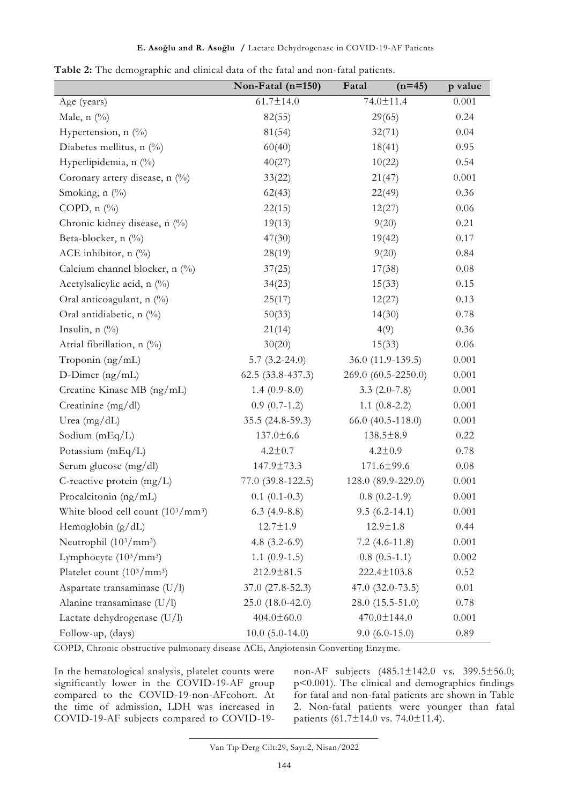|                                                | Non-Fatal $(n=150)$  | $(n=45)$<br>Fatal     | p value  |
|------------------------------------------------|----------------------|-----------------------|----------|
| Age (years)                                    | $61.7 \pm 14.0$      | 74.0±11.4             | 0.001    |
| Male, $n$ $(\%)$                               | 82(55)               | 29(65)                | 0.24     |
| Hypertension, n (%)                            | 81(54)               | 32(71)                | 0.04     |
| Diabetes mellitus, n (%)                       | 60(40)               | 18(41)                | 0.95     |
| Hyperlipidemia, n (%)                          | 40(27)               | 10(22)                | 0.54     |
| Coronary artery disease, n (%)                 | 33(22)               | 21(47)                | 0.001    |
| Smoking, n (%)                                 | 62(43)               | 22(49)                | 0.36     |
| COPD, $n$ $\left(\frac{0}{0}\right)$           | 22(15)               | 12(27)                | 0.06     |
| Chronic kidney disease, n (%)                  | 19(13)               | 9(20)                 | 0.21     |
| Beta-blocker, n (%)                            | 47(30)               | 19(42)                | 0.17     |
| ACE inhibitor, $n$ (%)                         | 28(19)               | 9(20)                 | 0.84     |
| Calcium channel blocker, n (%)                 | 37(25)               | 17(38)                | 0.08     |
| Acetylsalicylic acid, n (%)                    | 34(23)               | 15(33)                | 0.15     |
| Oral anticoagulant, n (%)                      | 25(17)               | 12(27)                | 0.13     |
| Oral antidiabetic, n (%)                       | 50(33)               | 14(30)                | 0.78     |
| Insulin, $n$ $(\%)$                            | 21(14)               | 4(9)                  | 0.36     |
| Atrial fibrillation, n (%)                     | 30(20)               | 15(33)                | $0.06\,$ |
| Troponin (ng/mL)                               | $5.7(3.2-24.0)$      | 36.0 (11.9-139.5)     | 0.001    |
| $D$ -Dimer (ng/mL)                             | $62.5(33.8-437.3)$   | 269.0 (60.5-2250.0)   | 0.001    |
| Creatine Kinase MB (ng/mL)                     | $1.4(0.9-8.0)$       | $3.3(2.0-7.8)$        | 0.001    |
| Creatinine (mg/dl)                             | $0.9(0.7-1.2)$       | $1.1(0.8-2.2)$        | 0.001    |
| Urea $(mg/dL)$                                 | $35.5(24.8-59.3)$    | $66.0 (40.5 - 118.0)$ | 0.001    |
| Sodium (mEq/L)                                 | $137.0 \pm 6.6$      | 138.5±8.9             | 0.22     |
| Potassium (mEq/L)                              | $4.2 \pm 0.7$        | $4.2 \pm 0.9$         | 0.78     |
| Serum glucose (mg/dl)                          | 147.9±73.3           | 171.6±99.6            | 0.08     |
| C-reactive protein (mg/L)                      | $77.0(39.8-122.5)$   | 128.0 (89.9-229.0)    | 0.001    |
| Procalcitonin (ng/mL)                          | $0.1(0.1-0.3)$       | $0.8(0.2-1.9)$        | 0.001    |
| White blood cell count $(10^3/\text{mm}^3)$    | $6.3$ (4.9-8.8)      | $9.5(6.2 - 14.1)$     | 0.001    |
| Hemoglobin $(g/dL)$                            | $12.7 \pm 1.9$       | $12.9 \pm 1.8$        | 0.44     |
| Neutrophil (10 <sup>3</sup> /mm <sup>3</sup> ) | 4.8 $(3.2-6.9)$      | $7.2(4.6-11.8)$       | 0.001    |
| Lymphocyte (10 <sup>3</sup> /mm <sup>3</sup> ) | $1.1(0.9-1.5)$       | $0.8(0.5-1.1)$        | 0.002    |
| Platelet count $(10^3/\text{mm}^3)$            | 212.9±81.5           | 222.4±103.8           | 0.52     |
| Aspartate transaminase (U/l)                   | $37.0 (27.8 - 52.3)$ | $47.0(32.0-73.5)$     | 0.01     |
| Alanine transaminase (U/l)                     | 25.0 (18.0-42.0)     | $28.0(15.5-51.0)$     | 0.78     |
| Lactate dehydrogenase (U/l)                    | $404.0 \pm 60.0$     | 470.0±144.0           | 0.001    |
| Follow-up, (days)                              | $10.0 (5.0 - 14.0)$  | $9.0(6.0-15.0)$       | 0.89     |

**Table 2:** The demographic and clinical data of the fatal and non-fatal patients.

COPD, Chronic obstructive pulmonary disease ACE, Angiotensin Converting Enzyme.

In the hematological analysis, platelet counts were significantly lower in the COVID-19-AF group compared to the COVID-19-non-AFcohort. At the time of admission, LDH was increased in COVID-19-AF subjects compared to COVID-19non-AF subjects (485.1±142.0 vs. 399.5±56.0; p<0.001). The clinical and demographics findings for fatal and non-fatal patients are shown in Table 2. Non-fatal patients were younger than fatal patients  $(61.7 \pm 14.0 \text{ vs. } 74.0 \pm 11.4).$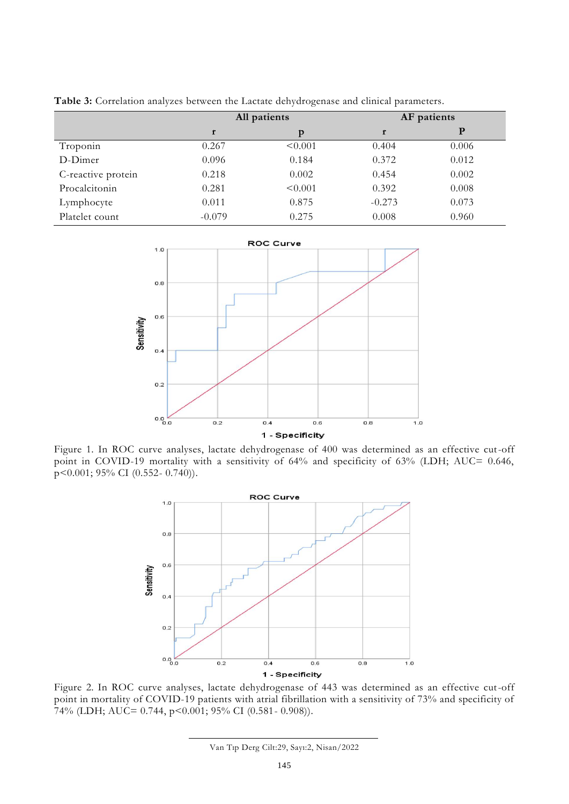|          | All patients |          | AF patients |
|----------|--------------|----------|-------------|
| r        | p            | r        | P           |
| 0.267    | < 0.001      | 0.404    | 0.006       |
| 0.096    | 0.184        | 0.372    | 0.012       |
| 0.218    | 0.002        | 0.454    | 0.002       |
| 0.281    | < 0.001      | 0.392    | 0.008       |
| 0.011    | 0.875        | $-0.273$ | 0.073       |
| $-0.079$ | 0.275        | 0.008    | 0.960       |
|          |              |          |             |

**Table 3:** Correlation analyzes between the Lactate dehydrogenase and clinical parameters.



Figure 1. In ROC curve analyses, lactate dehydrogenase of 400 was determined as an effective cut-off point in COVID-19 mortality with a sensitivity of 64% and specificity of 63% (LDH; AUC= 0.646, p<0.001; 95% CI (0.552- 0.740)).



Figure 2. In ROC curve analyses, lactate dehydrogenase of 443 was determined as an effective cut-off point in mortality of COVID-19 patients with atrial fibrillation with a sensitivity of 73% and specificity of 74% (LDH; AUC= 0.744, p<0.001; 95% CI (0.581- 0.908)).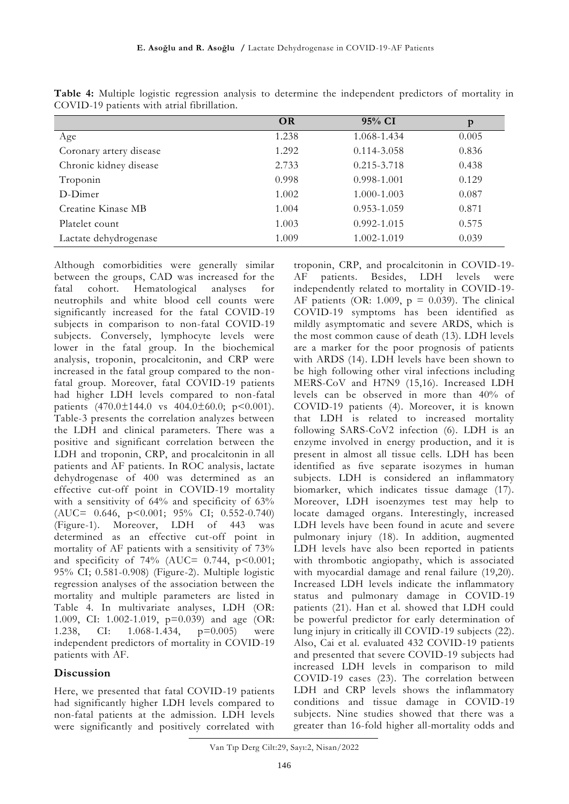|                         | <b>OR</b> | 95% CI          | p     |
|-------------------------|-----------|-----------------|-------|
| Age                     | 1.238     | 1.068-1.434     | 0.005 |
| Coronary artery disease | 1.292     | 0.114-3.058     | 0.836 |
| Chronic kidney disease  | 2.733     | $0.215 - 3.718$ | 0.438 |
| Troponin                | 0.998     | 0.998-1.001     | 0.129 |
| D-Dimer                 | 1.002     | 1.000-1.003     | 0.087 |
| Creatine Kinase MB      | 1.004     | 0.953-1.059     | 0.871 |
| Platelet count          | 1.003     | 0.992-1.015     | 0.575 |
| Lactate dehydrogenase   | 1.009     | 1.002-1.019     | 0.039 |

**Table 4:** Multiple logistic regression analysis to determine the independent predictors of mortality in COVID-19 patients with atrial fibrillation.

Although comorbidities were generally similar between the groups, CAD was increased for the fatal cohort. Hematological analyses for neutrophils and white blood cell counts were significantly increased for the fatal COVID-19 subjects in comparison to non-fatal COVID-19 subjects. Conversely, lymphocyte levels were lower in the fatal group. In the biochemical analysis, troponin, procalcitonin, and CRP were increased in the fatal group compared to the nonfatal group. Moreover, fatal COVID-19 patients had higher LDH levels compared to non-fatal patients  $(470.0 \pm 144.0 \text{ vs } 404.0 \pm 60.0; \text{ p} < 0.001).$ Table-3 presents the correlation analyzes between the LDH and clinical parameters. There was a positive and significant correlation between the LDH and troponin, CRP, and procalcitonin in all patients and AF patients. In ROC analysis, lactate dehydrogenase of 400 was determined as an effective cut-off point in COVID-19 mortality with a sensitivity of 64% and specificity of 63% (AUC= 0.646, p<0.001; 95% CI; 0.552-0.740) (Figure-1). Moreover, LDH of 443 was determined as an effective cut-off point in mortality of AF patients with a sensitivity of 73% and specificity of 74% (AUC=  $0.744$ , p<0.001; 95% CI; 0.581-0.908) (Figure-2). Multiple logistic regression analyses of the association between the mortality and multiple parameters are listed in Table 4. In multivariate analyses, LDH (OR: 1.009, CI: 1.002-1.019, p=0.039) and age (OR: 1.238, CI: 1.068-1.434, p=0.005) were independent predictors of mortality in COVID-19 patients with AF.

## **Discussion**

Here, we presented that fatal COVID-19 patients had significantly higher LDH levels compared to non-fatal patients at the admission. LDH levels were significantly and positively correlated with troponin, CRP, and procalcitonin in COVID-19- AF patients. Besides, LDH levels were independently related to mortality in COVID-19- AF patients (OR: 1.009,  $p = 0.039$ ). The clinical COVID-19 symptoms has been identified as mildly asymptomatic and severe ARDS, which is the most common cause of death (13). LDH levels are a marker for the poor prognosis of patients with ARDS (14). LDH levels have been shown to be high following other viral infections including MERS-CoV and H7N9 (15,16). Increased LDH levels can be observed in more than 40% of COVID-19 patients (4). Moreover, it is known that LDH is related to increased mortality following SARS-CoV2 infection (6). LDH is an enzyme involved in energy production, and it is present in almost all tissue cells. LDH has been identified as five separate isozymes in human subjects. LDH is considered an inflammatory biomarker, which indicates tissue damage (17). Moreover, LDH isoenzymes test may help to locate damaged organs. Interestingly, increased LDH levels have been found in acute and severe pulmonary injury (18). In addition, augmented LDH levels have also been reported in patients with thrombotic angiopathy, which is associated with myocardial damage and renal failure (19,20). Increased LDH levels indicate the inflammatory status and pulmonary damage in COVID-19 patients (21). Han et al. showed that LDH could be powerful predictor for early determination of lung injury in critically ill COVID-19 subjects (22). Also, Cai et al. evaluated 432 COVID-19 patients and presented that severe COVID-19 subjects had increased LDH levels in comparison to mild COVID-19 cases (23). The correlation between LDH and CRP levels shows the inflammatory conditions and tissue damage in COVID-19 subjects. Nine studies showed that there was a greater than 16-fold higher all-mortality odds and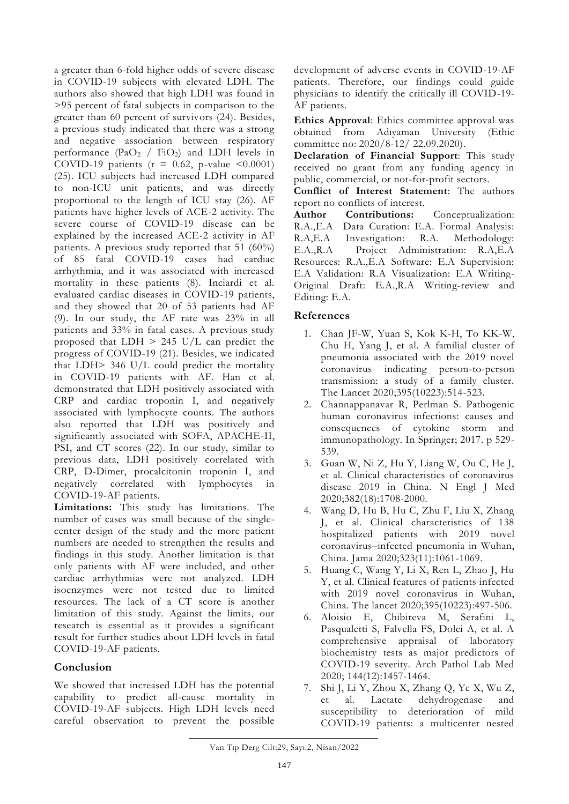a greater than 6-fold higher odds of severe disease in COVID-19 subjects with elevated LDH. The authors also showed that high LDH was found in >95 percent of fatal subjects in comparison to the greater than 60 percent of survivors (24). Besides, a previous study indicated that there was a strong and negative association between respiratory performance  $(PaO_2 / FiO_2)$  and LDH levels in COVID-19 patients ( $r = 0.62$ , p-value <0.0001) (25). ICU subjects had increased LDH compared to non-ICU unit patients, and was directly proportional to the length of ICU stay (26). AF patients have higher levels of ACE-2 activity. The severe course of COVID-19 disease can be explained by the increased ACE-2 activity in AF patients. A previous study reported that 51 (60%) of 85 fatal COVID-19 cases had cardiac arrhythmia, and it was associated with increased mortality in these patients (8). Inciardi et al. evaluated cardiac diseases in COVID-19 patients, and they showed that 20 of 53 patients had AF (9). In our study, the AF rate was 23% in all patients and 33% in fatal cases. A previous study proposed that LDH > 245 U/L can predict the progress of COVID-19 (21). Besides, we indicated that LDH> 346 U/L could predict the mortality in COVID-19 patients with AF. Han et al. demonstrated that LDH positively associated with CRP and cardiac troponin I, and negatively associated with lymphocyte counts. The authors also reported that LDH was positively and significantly associated with SOFA, APACHE-II, PSI, and CT scores (22). In our study, similar to previous data, LDH positively correlated with CRP, D-Dimer, procalcitonin troponin I, and negatively correlated with lymphocytes in COVID-19-AF patients.

**Limitations:** This study has limitations. The number of cases was small because of the singlecenter design of the study and the more patient numbers are needed to strengthen the results and findings in this study. Another limitation is that only patients with AF were included, and other cardiac arrhythmias were not analyzed. LDH isoenzymes were not tested due to limited resources. The lack of a CT score is another limitation of this study. Against the limits, our research is essential as it provides a significant result for further studies about LDH levels in fatal COVID-19-AF patients.

## **Conclusion**

We showed that increased LDH has the potential capability to predict all-cause mortality in COVID-19-AF subjects. High LDH levels need careful observation to prevent the possible

development of adverse events in COVID-19-AF patients. Therefore, our findings could guide physicians to identify the critically ill COVID-19- AF patients.

**Ethics Approval**: Ethics committee approval was obtained from Adıyaman University (Ethic committee no: 2020/8-12/ 22.09.2020).

**Declaration of Financial Support**: This study received no grant from any funding agency in public, commercial, or not-for-profit sectors.

**Conflict of Interest Statement**: The authors report no conflicts of interest.<br>Author **Contributions:** 

**Author Contributions:** Conceptualization: R.A.,E.A Data Curation: E.A. Formal Analysis: R.A,E.A Investigation: R.A. Methodology: E.A.,R.A Project Administration: R.A,E.A Resources: R.A.,E.A Software: E.A Supervision: E.A Validation: R.A Visualization: E.A Writing-Original Draft: E.A.,R.A Writing-review and Editing: E.A.

## **References**

- 1. Chan JF-W, Yuan S, Kok K-H, To KK-W, Chu H, Yang J, et al. A familial cluster of pneumonia associated with the 2019 novel coronavirus indicating person-to-person transmission: a study of a family cluster. The Lancet 2020;395(10223):514-523.
- 2. Channappanavar R, Perlman S. Pathogenic human coronavirus infections: causes and consequences of cytokine storm and immunopathology. In Springer; 2017. p 529- 539.
- 3. Guan W, Ni Z, Hu Y, Liang W, Ou C, He J, et al. Clinical characteristics of coronavirus disease 2019 in China. N Engl J Med 2020;382(18):1708-2000.
- 4. Wang D, Hu B, Hu C, Zhu F, Liu X, Zhang J, et al. Clinical characteristics of 138 hospitalized patients with 2019 novel coronavirus–infected pneumonia in Wuhan, China. Jama 2020;323(11):1061-1069.
- 5. Huang C, Wang Y, Li X, Ren L, Zhao J, Hu Y, et al. Clinical features of patients infected with 2019 novel coronavirus in Wuhan, China. The lancet 2020;395(10223):497-506.
- 6. Aloisio E, Chibireva M, Serafini L, Pasqualetti S, Falvella FS, Dolci A, et al. A comprehensive appraisal of laboratory biochemistry tests as major predictors of COVID-19 severity. Arch Pathol Lab Med 2020; 144(12):1457-1464.
- 7. Shi J, Li Y, Zhou X, Zhang Q, Ye X, Wu Z, et al. Lactate dehydrogenase and susceptibility to deterioration of mild COVID-19 patients: a multicenter nested